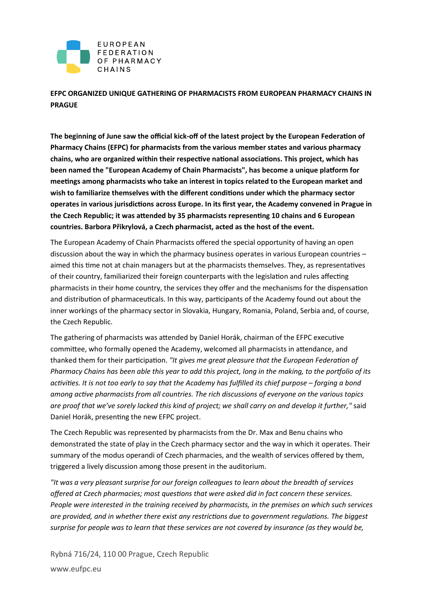

**EFPC ORGANIZED UNIQUE GATHERING OF PHARMACISTS FROM EUROPEAN PHARMACY CHAINS IN PRAGUE** 

**The beginning of June saw the official kick-off of the latest project by the European Federation of Pharmacy Chains (EFPC) for pharmacists from the various member states and various pharmacy chains, who are organized within their respective national associations. This project, which has been named the "European Academy of Chain Pharmacists", has become a unique platform for meetings among pharmacists who take an interest in topics related to the European market and wish to familiarize themselves with the different conditions under which the pharmacy sector operates in various jurisdictions across Europe. In its first year, the Academy convened in Prague in the Czech Republic; it was attended by 35 pharmacists representing 10 chains and 6 European countries. Barbora Přikrylová, a Czech pharmacist, acted as the host of the event.**

The European Academy of Chain Pharmacists offered the special opportunity of having an open discussion about the way in which the pharmacy business operates in various European countries – aimed this time not at chain managers but at the pharmacists themselves. They, as representatives of their country, familiarized their foreign counterparts with the legislation and rules affecting pharmacists in their home country, the services they offer and the mechanisms for the dispensation and distribution of pharmaceuticals. In this way, participants of the Academy found out about the inner workings of the pharmacy sector in Slovakia, Hungary, Romania, Poland, Serbia and, of course, the Czech Republic.

The gathering of pharmacists was attended by Daniel Horák, chairman of the EFPC executive committee, who formally opened the Academy, welcomed all pharmacists in attendance, and thanked them for their participation. *"It gives me great pleasure that the European Federation of Pharmacy Chains has been able this year to add this project, long in the making, to the portfolio of its activities. It is not too early to say that the Academy has fulfilled its chief purpose – forging a bond among active pharmacists from all countries. The rich discussions of everyone on the various topics are proof that we've sorely lacked this kind of project; we shall carry on and develop it further,"* said Daniel Horák, presenting the new EFPC project.

The Czech Republic was represented by pharmacists from the Dr. Max and Benu chains who demonstrated the state of play in the Czech pharmacy sector and the way in which it operates. Their summary of the modus operandi of Czech pharmacies, and the wealth of services offered by them, triggered a lively discussion among those present in the auditorium.

*"It was a very pleasant surprise for our foreign colleagues to learn about the breadth of services offered at Czech pharmacies; most questions that were asked did in fact concern these services. People were interested in the training received by pharmacists, in the premises on which such services are provided, and in whether there exist any restrictions due to government regulations. The biggest surprise for people was to learn that these services are not covered by insurance (as they would be,* 

Rybná 716/24, 110 00 Prague, Czech Republic www.eufpc.eu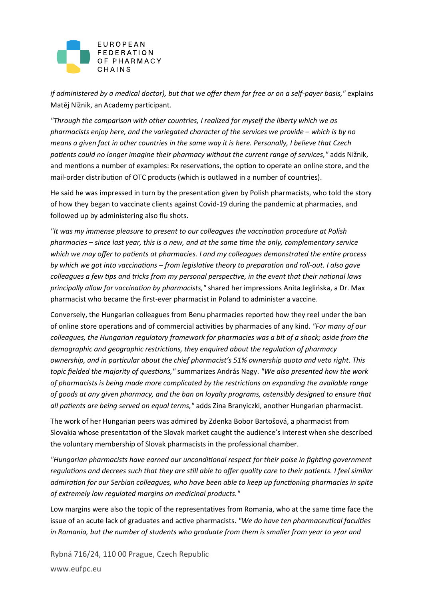

*if administered by a medical doctor), but that we offer them for free or on a self-payer basis,"* explains Matěj Nižnik, an Academy participant.

*"Through the comparison with other countries, I realized for myself the liberty which we as pharmacists enjoy here, and the variegated character of the services we provide – which is by no means a given fact in other countries in the same way it is here. Personally, I believe that Czech patients could no longer imagine their pharmacy without the current range of services,"* adds Nižnik, and mentions a number of examples: Rx reservations, the option to operate an online store, and the mail-order distribution of OTC products (which is outlawed in a number of countries).

He said he was impressed in turn by the presentation given by Polish pharmacists, who told the story of how they began to vaccinate clients against Covid-19 during the pandemic at pharmacies, and followed up by administering also flu shots.

*"It was my immense pleasure to present to our colleagues the vaccination procedure at Polish pharmacies – since last year, this is a new, and at the same time the only, complementary service which we may offer to patients at pharmacies. I and my colleagues demonstrated the entire process by which we got into vaccinations – from legislative theory to preparation and roll-out. I also gave colleagues a few tips and tricks from my personal perspective, in the event that their national laws principally allow for vaccination by pharmacists,"* shared her impressions Anita Jeglińska, a Dr. Max pharmacist who became the first-ever pharmacist in Poland to administer a vaccine.

Conversely, the Hungarian colleagues from Benu pharmacies reported how they reel under the ban of online store operations and of commercial activities by pharmacies of any kind. *"For many of our colleagues, the Hungarian regulatory framework for pharmacies was a bit of a shock; aside from the demographic and geographic restrictions, they enquired about the regulation of pharmacy ownership, and in particular about the chief pharmacist's 51% ownership quota and veto right. This topic fielded the majority of questions,"* summarizes András Nagy. *"We also presented how the work of pharmacists is being made more complicated by the restrictions on expanding the available range of goods at any given pharmacy, and the ban on loyalty programs, ostensibly designed to ensure that all patients are being served on equal terms,"* adds Zina Branyiczki, another Hungarian pharmacist.

The work of her Hungarian peers was admired by Zdenka Bobor Bartošová, a pharmacist from Slovakia whose presentation of the Slovak market caught the audience's interest when she described the voluntary membership of Slovak pharmacists in the professional chamber.

*"Hungarian pharmacists have earned our unconditional respect for their poise in fighting government regulations and decrees such that they are still able to offer quality care to their patients. I feel similar admiration for our Serbian colleagues, who have been able to keep up functioning pharmacies in spite of extremely low regulated margins on medicinal products."*

Low margins were also the topic of the representatives from Romania, who at the same time face the issue of an acute lack of graduates and active pharmacists. *"We do have ten pharmaceutical faculties in Romania, but the number of students who graduate from them is smaller from year to year and* 

Rybná 716/24, 110 00 Prague, Czech Republic www.eufpc.eu